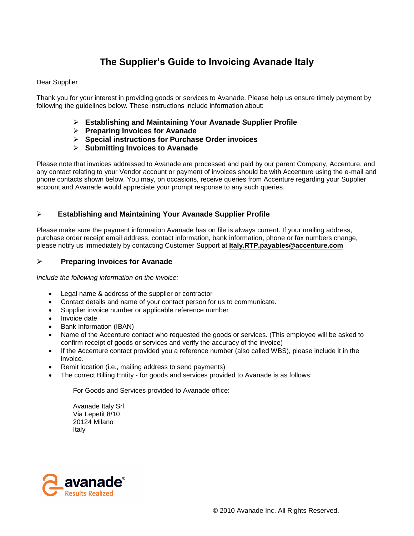# **The Supplier's Guide to Invoicing Avanade Italy**

### Dear Supplier

Thank you for your interest in providing goods or services to Avanade. Please help us ensure timely payment by following the guidelines below. These instructions include information about:

- **Establishing and Maintaining Your Avanade Supplier Profile**
- **Preparing Invoices for Avanade**
- **Special instructions for Purchase Order invoices**
- **Submitting Invoices to Avanade**

Please note that invoices addressed to Avanade are processed and paid by our parent Company, Accenture, and any contact relating to your Vendor account or payment of invoices should be with Accenture using the e-mail and phone contacts shown below. You may, on occasions, receive queries from Accenture regarding your Supplier account and Avanade would appreciate your prompt response to any such queries.

### **Establishing and Maintaining Your Avanade Supplier Profile**

Please make sure the payment information Avanade has on file is always current. If your mailing address, purchase order receipt email address, contact information, bank information, phone or fax numbers change, please notify us immediately by contacting Customer Support at **Italy.RTP.payables@accenture.com**

### **Preparing Invoices for Avanade**

*Include the following information on the invoice:*

- Legal name & address of the supplier or contractor
- Contact details and name of your contact person for us to communicate.
- Supplier invoice number or applicable reference number
- Invoice date
- Bank Information (IBAN)
- Name of the Accenture contact who requested the goods or services. (This employee will be asked to confirm receipt of goods or services and verify the accuracy of the invoice)
- If the Accenture contact provided you a reference number (also called WBS), please include it in the invoice.
- Remit location (i.e., mailing address to send payments)
- The correct Billing Entity for goods and services provided to Avanade is as follows:

For Goods and Services provided to Avanade office:

Avanade Italy Srl Via Lepetit 8/10 20124 Milano Italy

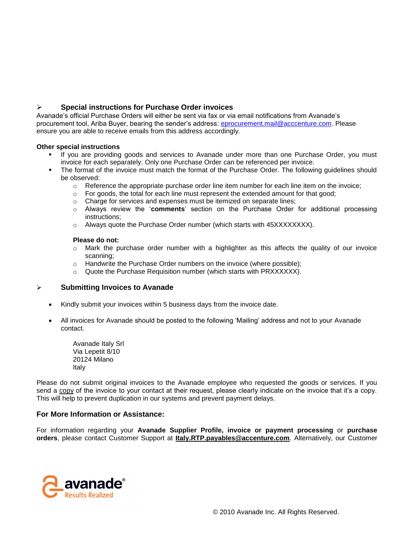## **Special instructions for Purchase Order invoices**

Avanade's official Purchase Orders will either be sent via fax or via email notifications from Avanade's procurement tool, Ariba Buyer, bearing the sender's address: [eprocurement.mail@acccenture.com.](mailto:eprocurement.mail@acccenture.com) Please ensure you are able to receive emails from this address accordingly.

### **Other special instructions**

- If you are providing goods and services to Avanade under more than one Purchase Order, you must invoice for each separately. Only one Purchase Order can be referenced per invoice.
- The format of the invoice must match the format of the Purchase Order. The following guidelines should be observed:
	- $\circ$  Reference the appropriate purchase order line item number for each line item on the invoice;
	- o For goods, the total for each line must represent the extended amount for that good;
	- o Charge for services and expenses must be itemized on separate lines;
	- o Always review the '**comments**' section on the Purchase Order for additional processing instructions;
	- $\circ$  Always quote the Purchase Order number (which starts with 45XXXXXXXX).

#### **Please do not:**

- $\circ$  Mark the purchase order number with a highlighter as this affects the quality of our invoice scanning;
- o Handwrite the Purchase Order numbers on the invoice (where possible);
- o Quote the Purchase Requisition number (which starts with PRXXXXXX).

### **Submitting Invoices to Avanade**

- Kindly submit your invoices within 5 business days from the invoice date.
- All invoices for Avanade should be posted to the following 'Mailing' address and not to your Avanade contact.

Avanade Italy Srl Via Lepetit 8/10 20124 Milano Italy

Please do not submit original invoices to the Avanade employee who requested the goods or services. If you send a copy of the invoice to your contact at their request, please clearly indicate on the invoice that it's a copy. This will help to prevent duplication in our systems and prevent payment delays.

### **For More Information or Assistance:**

For information regarding your **Avanade Supplier Profile, invoice or payment processing** or **purchase orders**, please contact Customer Support at **Italy.RTP.payables@accenture.com**. Alternatively, our Customer